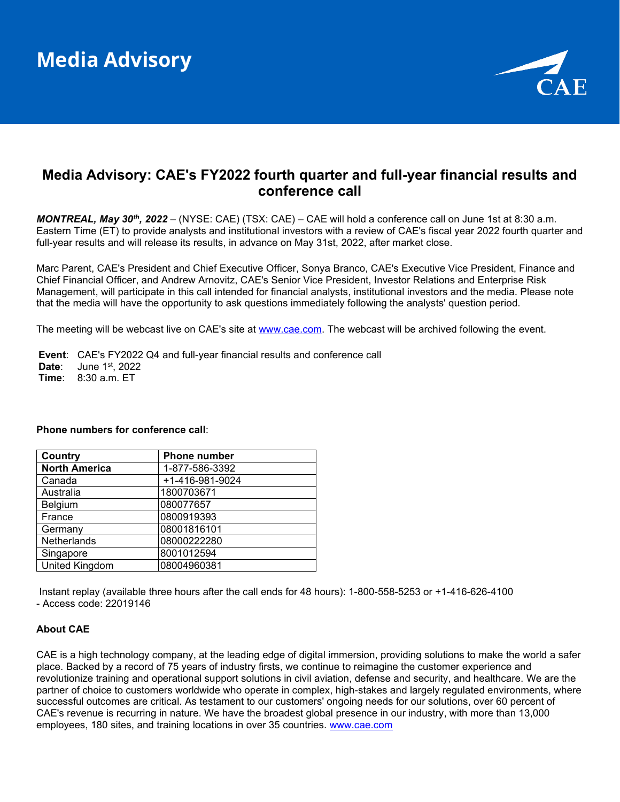

# **Media Advisory: CAE's FY2022 fourth quarter and full-year financial results and conference call**

*MONTREAL, May 30th, 2022* – (NYSE: CAE) (TSX: CAE) – CAE will hold a conference call on June 1st at 8:30 a.m. Eastern Time (ET) to provide analysts and institutional investors with a review of CAE's fiscal year 2022 fourth quarter and full-year results and will release its results, in advance on May 31st, 2022, after market close.

Marc Parent, CAE's President and Chief Executive Officer, Sonya Branco, CAE's Executive Vice President, Finance and Chief Financial Officer, and Andrew Arnovitz, CAE's Senior Vice President, Investor Relations and Enterprise Risk Management, will participate in this call intended for financial analysts, institutional investors and the media. Please note that the media will have the opportunity to ask questions immediately following the analysts' question period.

The meeting will be webcast live on CAE's site at [www.cae.com.](https://c212.net/c/link/?t=0&l=en&o=3521200-1&h=3933708522&u=http%3A%2F%2Fwww.cae.com%2F&a=www.cae.com) The webcast will be archived following the event.

**Event**: CAE's FY2022 Q4 and full-year financial results and conference call **Date:** June 1st, 2022 **Time**: 8:30 a.m. ET

## **Phone numbers for conference call**:

| Country               | <b>Phone number</b> |
|-----------------------|---------------------|
| <b>North America</b>  | 1-877-586-3392      |
| Canada                | +1-416-981-9024     |
| Australia             | 1800703671          |
| Belgium               | 080077657           |
| France                | 0800919393          |
| Germany               | 08001816101         |
| Netherlands           | 08000222280         |
| Singapore             | 8001012594          |
| <b>United Kingdom</b> | 08004960381         |

Instant replay (available three hours after the call ends for 48 hours): 1-800-558-5253 or +1-416-626-4100 - Access code: 22019146

## **About CAE**

CAE is a high technology company, at the leading edge of digital immersion, providing solutions to make the world a safer place. Backed by a record of 75 years of industry firsts, we continue to reimagine the customer experience and revolutionize training and operational support solutions in civil aviation, defense and security, and healthcare. We are the partner of choice to customers worldwide who operate in complex, high-stakes and largely regulated environments, where successful outcomes are critical. As testament to our customers' ongoing needs for our solutions, over 60 percent of CAE's revenue is recurring in nature. We have the broadest global presence in our industry, with more than 13,000 employees, 180 sites, and training locations in over 35 countries. [www.cae.com](https://c212.net/c/link/?t=0&l=en&o=3521200-1&h=3933708522&u=http%3A%2F%2Fwww.cae.com%2F&a=www.cae.com)